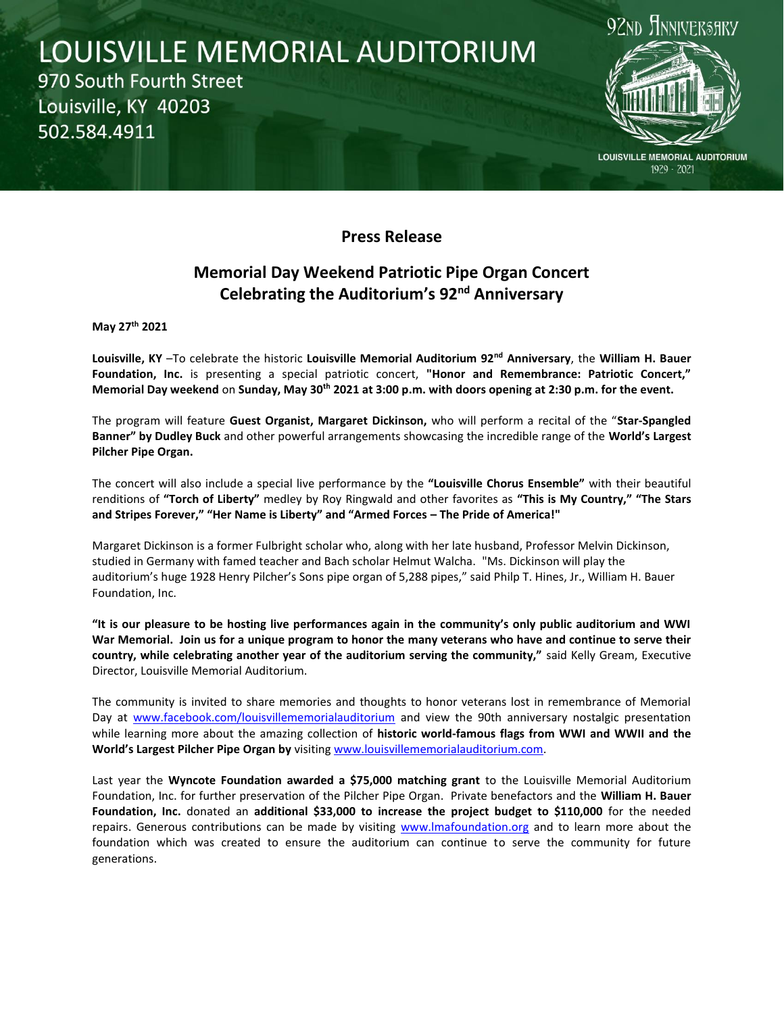## LOUISVILLE MEMORIAL AUDITORIUM 970 South Fourth Street Louisville, KY 40203 502.584.4911



**LOUISVILLE MEMORIAL AUDITORIUM** 1929 - 2021

## **Press Release**

## **Memorial Day Weekend Patriotic Pipe Organ Concert Celebrating the Auditorium's 92nd Anniversary**

**May 27th 2021**

**Louisville, KY** –To celebrate the historic **Louisville Memorial Auditorium 92nd Anniversary**, the **William H. Bauer Foundation, Inc.** is presenting a special patriotic concert, **"Honor and Remembrance: Patriotic Concert," Memorial Day weekend** on **Sunday, May 30th 2021 at 3:00 p.m. with doors opening at 2:30 p.m. for the event.**

The program will feature **Guest Organist, Margaret Dickinson,** who will perform a recital of the "**Star-Spangled Banner" by Dudley Buck** and other powerful arrangements showcasing the incredible range of the **World's Largest Pilcher Pipe Organ.**

The concert will also include a special live performance by the **"Louisville Chorus Ensemble"** with their beautiful renditions of **"Torch of Liberty"** medley by Roy Ringwald and other favorites as **"This is My Country," "The Stars and Stripes Forever," "Her Name is Liberty" and "Armed Forces – The Pride of America!"**

Margaret Dickinson is a former Fulbright scholar who, along with her late husband, Professor Melvin Dickinson, studied in Germany with famed teacher and Bach scholar Helmut Walcha. "Ms. Dickinson will play the auditorium's huge 1928 Henry Pilcher's Sons pipe organ of 5,288 pipes," said Philp T. Hines, Jr., William H. Bauer Foundation, Inc.

**"It is our pleasure to be hosting live performances again in the community's only public auditorium and WWI War Memorial. Join us for a unique program to honor the many veterans who have and continue to serve their country, while celebrating another year of the auditorium serving the community,"** said Kelly Gream, Executive Director, Louisville Memorial Auditorium.

The community is invited to share memories and thoughts to honor veterans lost in remembrance of Memorial Day at [www.facebook.com/louisvillememorialauditorium](http://www.facebook.com/louisvillememorialauditorium) and view the 90th anniversary nostalgic presentation while learning more about the amazing collection of **historic world-famous flags from WWI and WWII and the World's Largest Pilcher Pipe Organ by** visiting [www.louisvillememorialauditorium.com.](http://www.louisvillememorialauditorium.com/)

Last year the **Wyncote Foundation awarded a \$75,000 matching grant** to the Louisville Memorial Auditorium Foundation, Inc. for further preservation of the Pilcher Pipe Organ. Private benefactors and the **William H. Bauer Foundation, Inc.** donated an **additional \$33,000 to increase the project budget to \$110,000** for the needed repairs. Generous contributions can be made by visiting [www.lmafoundation.org](http://www.lmafoundation.org/) and to learn more about the foundation which was created to ensure the auditorium can continue to serve the community for future generations.